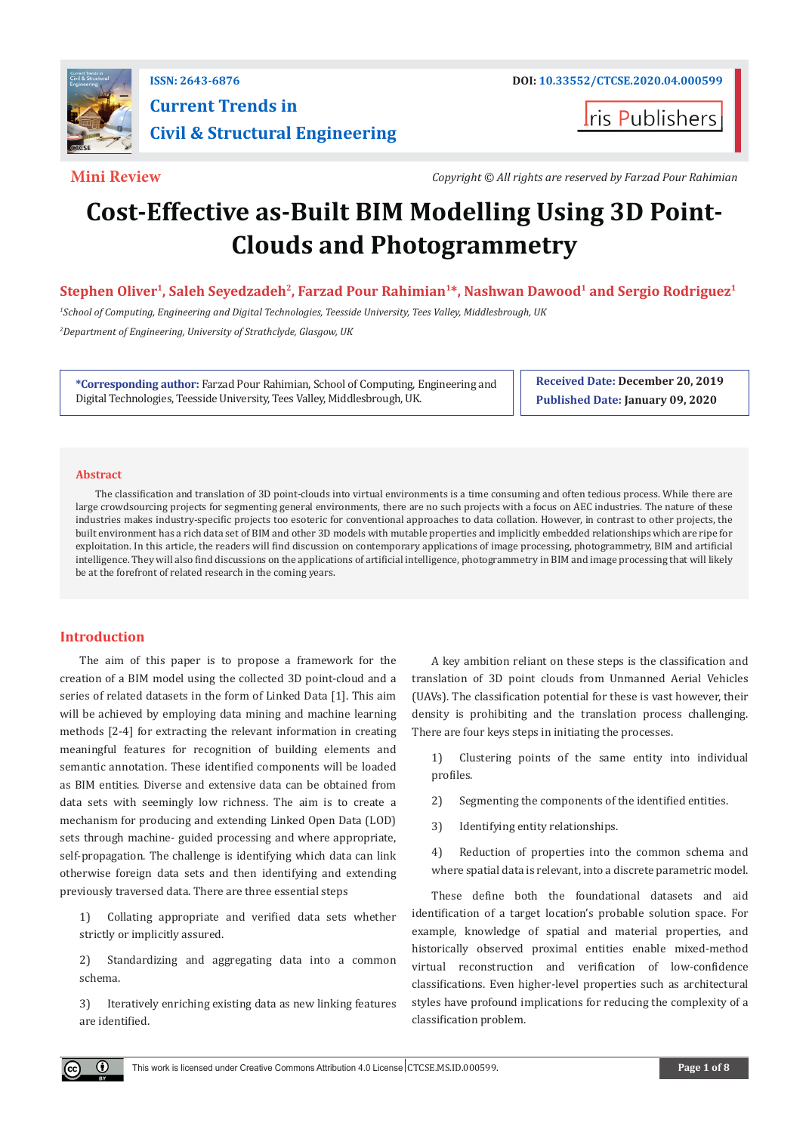

## **ISSN: 2643-6876 DOI: [10.33552/CTCSE.2020.04.000599](http://dx.doi.org/10.33552/CTCSE.2020.04.000599) Current Trends in Civil & Structural Engineering**

ris Publishers

**Mini Review** *Copyright © All rights are reserved by Farzad Pour Rahimian*

# **Cost-Effective as-Built BIM Modelling Using 3D Point-Clouds and Photogrammetry**

Stephen Oliver<sup>1</sup>, Saleh Seyedzadeh<sup>2</sup>, Farzad Pour Rahimian<sup>1\*</sup>, Nashwan Dawood<sup>1</sup> and Sergio Rodriguez<sup>1</sup>

*1 School of Computing, Engineering and Digital Technologies, Teesside University, Tees Valley, Middlesbrough, UK 2 Department of Engineering, University of Strathclyde, Glasgow, UK*

**\*Corresponding author:** Farzad Pour Rahimian, School of Computing, Engineering and Digital Technologies, Teesside University, Tees Valley, Middlesbrough, UK.

**Received Date: December 20, 2019 Published Date: January 09, 2020**

#### **Abstract**

The classification and translation of 3D point-clouds into virtual environments is a time consuming and often tedious process. While there are large crowdsourcing projects for segmenting general environments, there are no such projects with a focus on AEC industries. The nature of these industries makes industry-specific projects too esoteric for conventional approaches to data collation. However, in contrast to other projects, the built environment has a rich data set of BIM and other 3D models with mutable properties and implicitly embedded relationships which are ripe for exploitation. In this article, the readers will find discussion on contemporary applications of image processing, photogrammetry, BIM and artificial intelligence. They will also find discussions on the applications of artificial intelligence, photogrammetry in BIM and image processing that will likely be at the forefront of related research in the coming years.

### **Introduction**

The aim of this paper is to propose a framework for the creation of a BIM model using the collected 3D point-cloud and a series of related datasets in the form of Linked Data [1]. This aim will be achieved by employing data mining and machine learning methods [2-4] for extracting the relevant information in creating meaningful features for recognition of building elements and semantic annotation. These identified components will be loaded as BIM entities. Diverse and extensive data can be obtained from data sets with seemingly low richness. The aim is to create a mechanism for producing and extending Linked Open Data (LOD) sets through machine- guided processing and where appropriate, self-propagation. The challenge is identifying which data can link otherwise foreign data sets and then identifying and extending previously traversed data. There are three essential steps

1) Collating appropriate and verified data sets whether strictly or implicitly assured.

2) Standardizing and aggregating data into a common schema.

3) Iteratively enriching existing data as new linking features are identified.

A key ambition reliant on these steps is the classification and translation of 3D point clouds from Unmanned Aerial Vehicles (UAVs). The classification potential for these is vast however, their density is prohibiting and the translation process challenging. There are four keys steps in initiating the processes.

1) Clustering points of the same entity into individual profiles.

2) Segmenting the components of the identified entities.

3) Identifying entity relationships.

4) Reduction of properties into the common schema and where spatial data is relevant, into a discrete parametric model.

These define both the foundational datasets and aid identification of a target location's probable solution space. For example, knowledge of spatial and material properties, and historically observed proximal entities enable mixed-method virtual reconstruction and verification of low-confidence classifications. Even higher-level properties such as architectural styles have profound implications for reducing the complexity of a classification problem.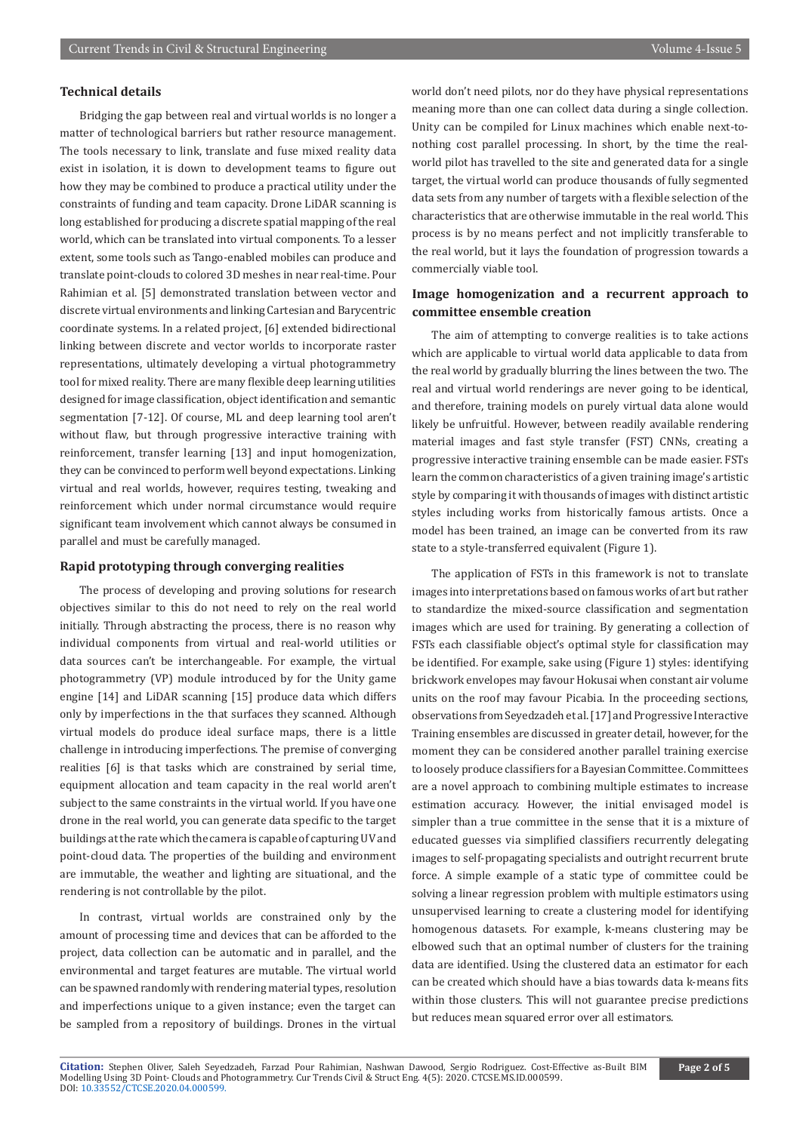#### **Technical details**

Bridging the gap between real and virtual worlds is no longer a matter of technological barriers but rather resource management. The tools necessary to link, translate and fuse mixed reality data exist in isolation, it is down to development teams to figure out how they may be combined to produce a practical utility under the constraints of funding and team capacity. Drone LiDAR scanning is long established for producing a discrete spatial mapping of the real world, which can be translated into virtual components. To a lesser extent, some tools such as Tango-enabled mobiles can produce and translate point-clouds to colored 3D meshes in near real-time. Pour Rahimian et al. [5] demonstrated translation between vector and discrete virtual environments and linking Cartesian and Barycentric coordinate systems. In a related project, [6] extended bidirectional linking between discrete and vector worlds to incorporate raster representations, ultimately developing a virtual photogrammetry tool for mixed reality. There are many flexible deep learning utilities designed for image classification, object identification and semantic segmentation [7-12]. Of course, ML and deep learning tool aren't without flaw, but through progressive interactive training with reinforcement, transfer learning [13] and input homogenization, they can be convinced to perform well beyond expectations. Linking virtual and real worlds, however, requires testing, tweaking and reinforcement which under normal circumstance would require significant team involvement which cannot always be consumed in parallel and must be carefully managed.

#### **Rapid prototyping through converging realities**

The process of developing and proving solutions for research objectives similar to this do not need to rely on the real world initially. Through abstracting the process, there is no reason why individual components from virtual and real-world utilities or data sources can't be interchangeable. For example, the virtual photogrammetry (VP) module introduced by for the Unity game engine [14] and LiDAR scanning [15] produce data which differs only by imperfections in the that surfaces they scanned. Although virtual models do produce ideal surface maps, there is a little challenge in introducing imperfections. The premise of converging realities [6] is that tasks which are constrained by serial time, equipment allocation and team capacity in the real world aren't subject to the same constraints in the virtual world. If you have one drone in the real world, you can generate data specific to the target buildings at the rate which the camera is capable of capturing UV and point-cloud data. The properties of the building and environment are immutable, the weather and lighting are situational, and the rendering is not controllable by the pilot.

In contrast, virtual worlds are constrained only by the amount of processing time and devices that can be afforded to the project, data collection can be automatic and in parallel, and the environmental and target features are mutable. The virtual world can be spawned randomly with rendering material types, resolution and imperfections unique to a given instance; even the target can be sampled from a repository of buildings. Drones in the virtual

world don't need pilots, nor do they have physical representations meaning more than one can collect data during a single collection. Unity can be compiled for Linux machines which enable next-tonothing cost parallel processing. In short, by the time the realworld pilot has travelled to the site and generated data for a single target, the virtual world can produce thousands of fully segmented data sets from any number of targets with a flexible selection of the characteristics that are otherwise immutable in the real world. This process is by no means perfect and not implicitly transferable to the real world, but it lays the foundation of progression towards a commercially viable tool.

#### **Image homogenization and a recurrent approach to committee ensemble creation**

The aim of attempting to converge realities is to take actions which are applicable to virtual world data applicable to data from the real world by gradually blurring the lines between the two. The real and virtual world renderings are never going to be identical, and therefore, training models on purely virtual data alone would likely be unfruitful. However, between readily available rendering material images and fast style transfer (FST) CNNs, creating a progressive interactive training ensemble can be made easier. FSTs learn the common characteristics of a given training image's artistic style by comparing it with thousands of images with distinct artistic styles including works from historically famous artists. Once a model has been trained, an image can be converted from its raw state to a style-transferred equivalent (Figure 1).

The application of FSTs in this framework is not to translate images into interpretations based on famous works of art but rather to standardize the mixed-source classification and segmentation images which are used for training. By generating a collection of FSTs each classifiable object's optimal style for classification may be identified. For example, sake using (Figure 1) styles: identifying brickwork envelopes may favour Hokusai when constant air volume units on the roof may favour Picabia. In the proceeding sections, observations from Seyedzadeh et al. [17] and Progressive Interactive Training ensembles are discussed in greater detail, however, for the moment they can be considered another parallel training exercise to loosely produce classifiers for a Bayesian Committee. Committees are a novel approach to combining multiple estimates to increase estimation accuracy. However, the initial envisaged model is simpler than a true committee in the sense that it is a mixture of educated guesses via simplified classifiers recurrently delegating images to self-propagating specialists and outright recurrent brute force. A simple example of a static type of committee could be solving a linear regression problem with multiple estimators using unsupervised learning to create a clustering model for identifying homogenous datasets. For example, k-means clustering may be elbowed such that an optimal number of clusters for the training data are identified. Using the clustered data an estimator for each can be created which should have a bias towards data k-means fits within those clusters. This will not guarantee precise predictions but reduces mean squared error over all estimators.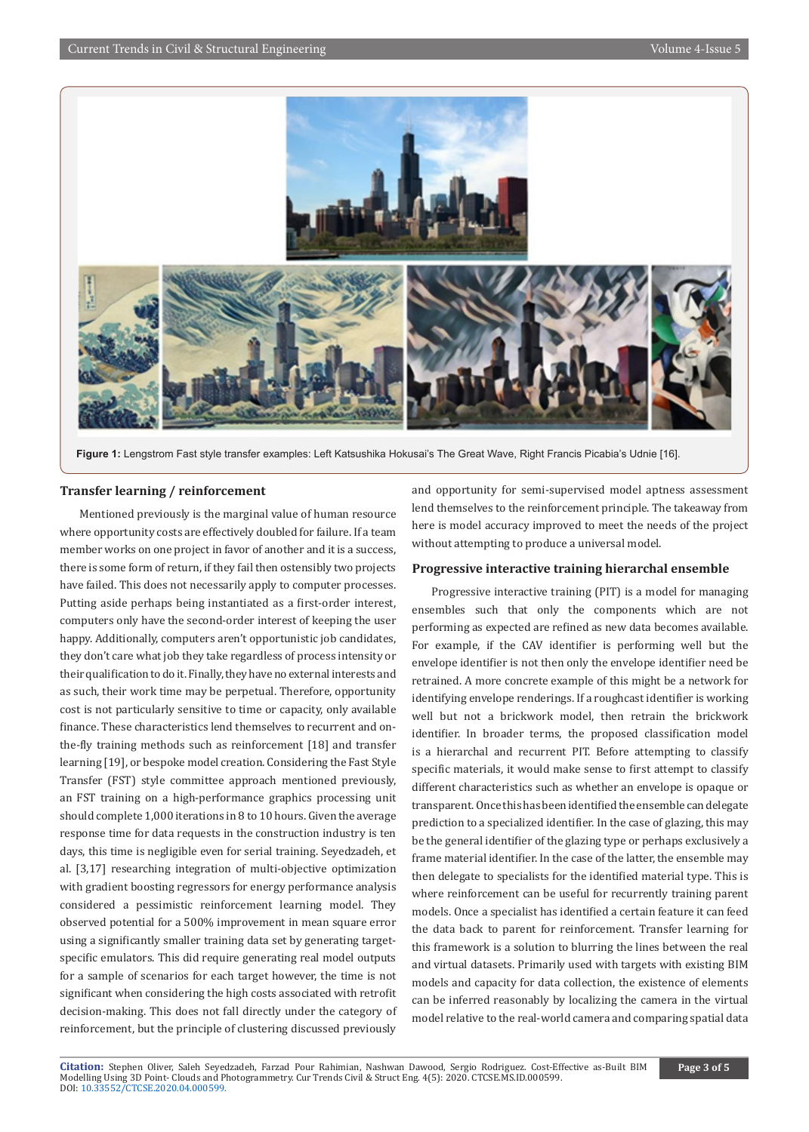

**Figure 1:** Lengstrom Fast style transfer examples: Left Katsushika Hokusai's The Great Wave, Right Francis Picabia's Udnie [16].

#### **Transfer learning / reinforcement**

Mentioned previously is the marginal value of human resource where opportunity costs are effectively doubled for failure. If a team member works on one project in favor of another and it is a success, there is some form of return, if they fail then ostensibly two projects have failed. This does not necessarily apply to computer processes. Putting aside perhaps being instantiated as a first-order interest, computers only have the second-order interest of keeping the user happy. Additionally, computers aren't opportunistic job candidates, they don't care what job they take regardless of process intensity or their qualification to do it. Finally, they have no external interests and as such, their work time may be perpetual. Therefore, opportunity cost is not particularly sensitive to time or capacity, only available finance. These characteristics lend themselves to recurrent and onthe-fly training methods such as reinforcement [18] and transfer learning [19], or bespoke model creation. Considering the Fast Style Transfer (FST) style committee approach mentioned previously, an FST training on a high-performance graphics processing unit should complete 1,000 iterations in 8 to 10 hours. Given the average response time for data requests in the construction industry is ten days, this time is negligible even for serial training. Seyedzadeh, et al. [3,17] researching integration of multi-objective optimization with gradient boosting regressors for energy performance analysis considered a pessimistic reinforcement learning model. They observed potential for a 500% improvement in mean square error using a significantly smaller training data set by generating targetspecific emulators. This did require generating real model outputs for a sample of scenarios for each target however, the time is not significant when considering the high costs associated with retrofit decision-making. This does not fall directly under the category of reinforcement, but the principle of clustering discussed previously

and opportunity for semi-supervised model aptness assessment lend themselves to the reinforcement principle. The takeaway from here is model accuracy improved to meet the needs of the project without attempting to produce a universal model.

#### **Progressive interactive training hierarchal ensemble**

Progressive interactive training (PIT) is a model for managing ensembles such that only the components which are not performing as expected are refined as new data becomes available. For example, if the CAV identifier is performing well but the envelope identifier is not then only the envelope identifier need be retrained. A more concrete example of this might be a network for identifying envelope renderings. If a roughcast identifier is working well but not a brickwork model, then retrain the brickwork identifier. In broader terms, the proposed classification model is a hierarchal and recurrent PIT. Before attempting to classify specific materials, it would make sense to first attempt to classify different characteristics such as whether an envelope is opaque or transparent. Once this has been identified the ensemble can delegate prediction to a specialized identifier. In the case of glazing, this may be the general identifier of the glazing type or perhaps exclusively a frame material identifier. In the case of the latter, the ensemble may then delegate to specialists for the identified material type. This is where reinforcement can be useful for recurrently training parent models. Once a specialist has identified a certain feature it can feed the data back to parent for reinforcement. Transfer learning for this framework is a solution to blurring the lines between the real and virtual datasets. Primarily used with targets with existing BIM models and capacity for data collection, the existence of elements can be inferred reasonably by localizing the camera in the virtual model relative to the real-world camera and comparing spatial data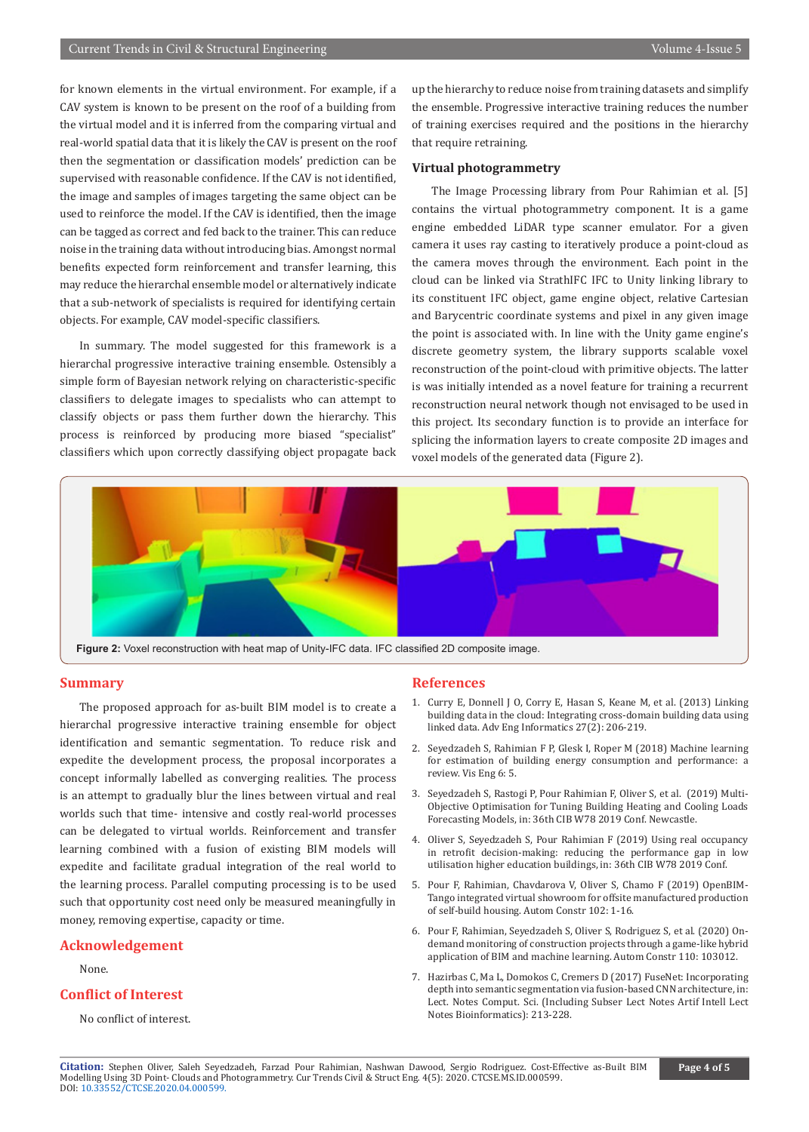for known elements in the virtual environment. For example, if a CAV system is known to be present on the roof of a building from the virtual model and it is inferred from the comparing virtual and real-world spatial data that it is likely the CAV is present on the roof then the segmentation or classification models' prediction can be supervised with reasonable confidence. If the CAV is not identified, the image and samples of images targeting the same object can be used to reinforce the model. If the CAV is identified, then the image can be tagged as correct and fed back to the trainer. This can reduce noise in the training data without introducing bias. Amongst normal benefits expected form reinforcement and transfer learning, this may reduce the hierarchal ensemble model or alternatively indicate that a sub-network of specialists is required for identifying certain objects. For example, CAV model-specific classifiers.

In summary. The model suggested for this framework is a hierarchal progressive interactive training ensemble. Ostensibly a simple form of Bayesian network relying on characteristic-specific classifiers to delegate images to specialists who can attempt to classify objects or pass them further down the hierarchy. This process is reinforced by producing more biased "specialist" classifiers which upon correctly classifying object propagate back up the hierarchy to reduce noise from training datasets and simplify the ensemble. Progressive interactive training reduces the number of training exercises required and the positions in the hierarchy that require retraining.

#### **Virtual photogrammetry**

The Image Processing library from Pour Rahimian et al. [5] contains the virtual photogrammetry component. It is a game engine embedded LiDAR type scanner emulator. For a given camera it uses ray casting to iteratively produce a point-cloud as the camera moves through the environment. Each point in the cloud can be linked via StrathIFC IFC to Unity linking library to its constituent IFC object, game engine object, relative Cartesian and Barycentric coordinate systems and pixel in any given image the point is associated with. In line with the Unity game engine's discrete geometry system, the library supports scalable voxel reconstruction of the point-cloud with primitive objects. The latter is was initially intended as a novel feature for training a recurrent reconstruction neural network though not envisaged to be used in this project. Its secondary function is to provide an interface for splicing the information layers to create composite 2D images and voxel models of the generated data (Figure 2).



#### **Summary**

The proposed approach for as-built BIM model is to create a hierarchal progressive interactive training ensemble for object identification and semantic segmentation. To reduce risk and expedite the development process, the proposal incorporates a concept informally labelled as converging realities. The process is an attempt to gradually blur the lines between virtual and real worlds such that time- intensive and costly real-world processes can be delegated to virtual worlds. Reinforcement and transfer learning combined with a fusion of existing BIM models will expedite and facilitate gradual integration of the real world to the learning process. Parallel computing processing is to be used such that opportunity cost need only be measured meaningfully in money, removing expertise, capacity or time.

#### **Acknowledgement**

None.

#### **Conflict of Interest**

No conflict of interest.

#### **References**

- 1. [Curry E, Donnell J O, Corry E, Hasan S, Keane M, et al. \(2013\) Linking](https://www.sciencedirect.com/science/article/abs/pii/S1474034612000961)  [building data in the cloud: Integrating cross-domain building data using](https://www.sciencedirect.com/science/article/abs/pii/S1474034612000961)  [linked data. Adv Eng Informatics 27\(2\): 206-219.](https://www.sciencedirect.com/science/article/abs/pii/S1474034612000961)
- 2. Seyedzadeh S, Rahimian F P, Glesk I, Roper M (2018) Machine learning for estimation of building energy consumption and performance: a review. Vis Eng 6: 5.
- 3. Seyedzadeh S, Rastogi P, Pour Rahimian F, Oliver S, et al. (2019) Multi-Objective Optimisation for Tuning Building Heating and Cooling Loads Forecasting Models, in: 36th CIB W78 2019 Conf. Newcastle.
- 4. Oliver S, Seyedzadeh S, Pour Rahimian F (2019) Using real occupancy in retrofit decision-making: reducing the performance gap in low utilisation higher education buildings, in: 36th CIB W78 2019 Conf.
- 5. [Pour F, Rahimian, Chavdarova V, Oliver S, Chamo F \(2019\) OpenBIM-](https://www.sciencedirect.com/science/article/pii/S0926580518302826)[Tango integrated virtual showroom for offsite manufactured production](https://www.sciencedirect.com/science/article/pii/S0926580518302826)  [of self-build housing. Autom Constr 102: 1-16.](https://www.sciencedirect.com/science/article/pii/S0926580518302826)
- 6. [Pour F, Rahimian, Seyedzadeh S, Oliver S, Rodriguez S, et al. \(2020\) On](https://www.sciencedirect.com/science/article/abs/pii/S0926580519310222)[demand monitoring of construction projects through a game-like hybrid](https://www.sciencedirect.com/science/article/abs/pii/S0926580519310222)  [application of BIM and machine learning. Autom Constr 110: 103012.](https://www.sciencedirect.com/science/article/abs/pii/S0926580519310222)
- 7. Hazirbas C, Ma L, Domokos C, Cremers D (2017) FuseNet: Incorporating depth into semantic segmentation via fusion-based CNN architecture, in: Lect. Notes Comput. Sci. (Including Subser Lect Notes Artif Intell Lect Notes Bioinformatics): 213-228.